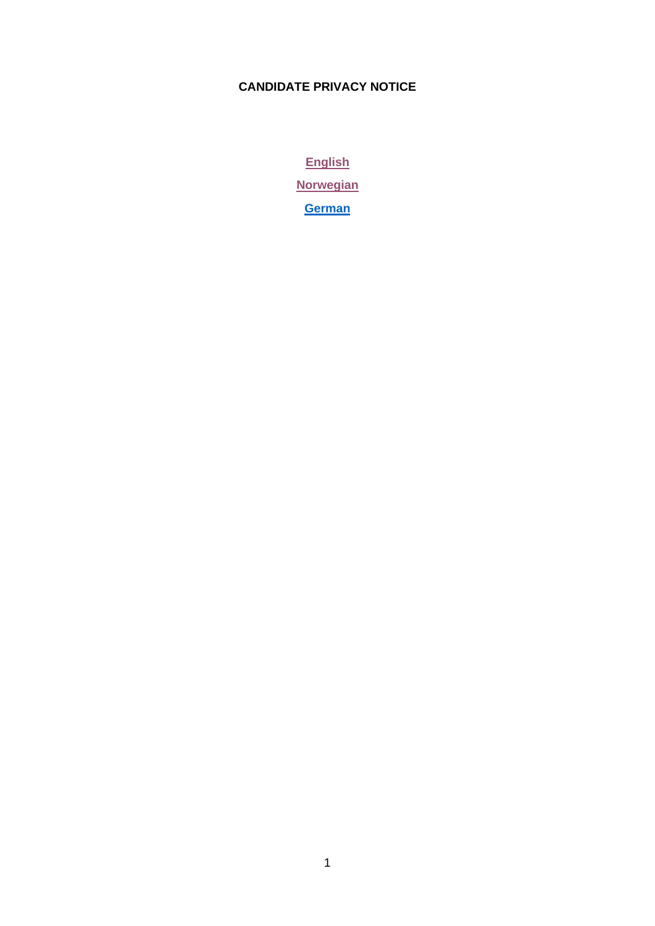# **CANDIDATE PRIVACY NOTICE**

**[English](#page-1-0) [Norwegian](#page-7-0) [German](#page-11-0)**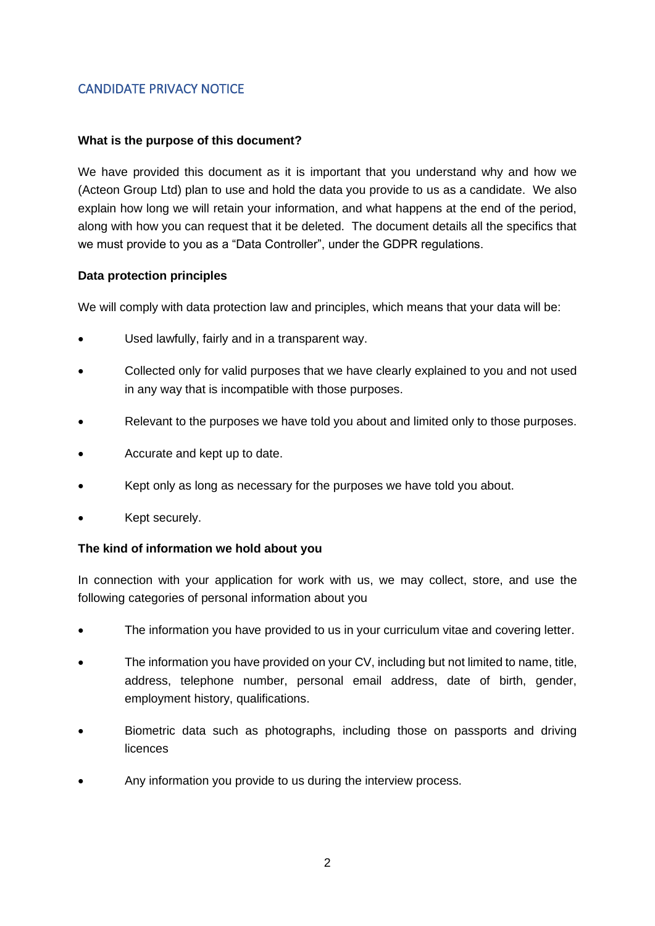# <span id="page-1-0"></span>CANDIDATE PRIVACY NOTICE

#### **What is the purpose of this document?**

We have provided this document as it is important that you understand why and how we (Acteon Group Ltd) plan to use and hold the data you provide to us as a candidate. We also explain how long we will retain your information, and what happens at the end of the period, along with how you can request that it be deleted. The document details all the specifics that we must provide to you as a "Data Controller", under the GDPR regulations.

#### **Data protection principles**

We will comply with data protection law and principles, which means that your data will be:

- Used lawfully, fairly and in a transparent way.
- Collected only for valid purposes that we have clearly explained to you and not used in any way that is incompatible with those purposes.
- Relevant to the purposes we have told you about and limited only to those purposes.
- Accurate and kept up to date.
- Kept only as long as necessary for the purposes we have told you about.
- Kept securely.

### **The kind of information we hold about you**

In connection with your application for work with us, we may collect, store, and use the following categories of personal information about you

- The information you have provided to us in your curriculum vitae and covering letter.
- The information you have provided on your CV, including but not limited to name, title, address, telephone number, personal email address, date of birth, gender, employment history, qualifications.
- Biometric data such as photographs, including those on passports and driving licences
- Any information you provide to us during the interview process.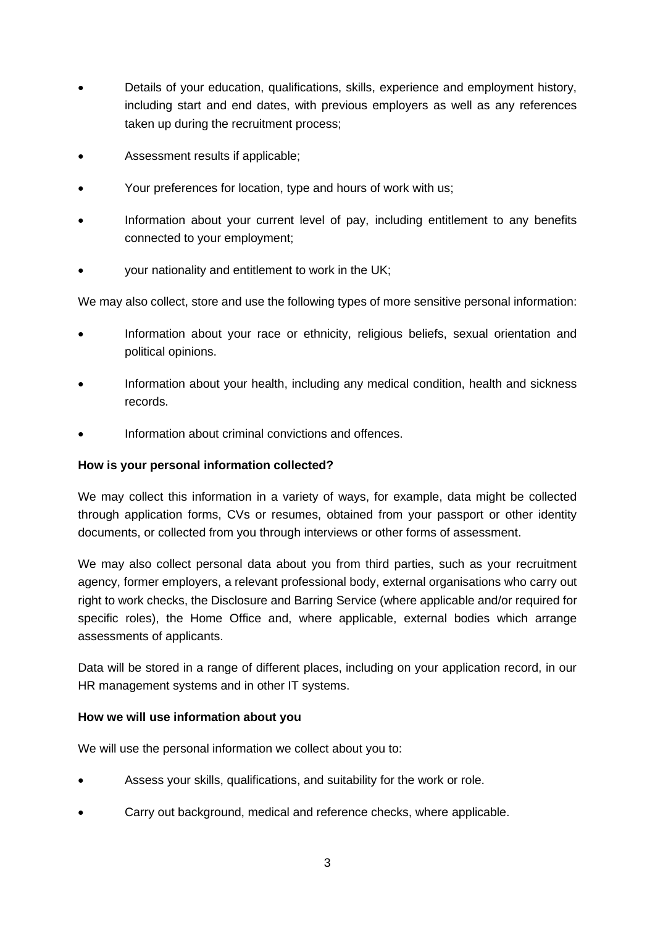- Details of your education, qualifications, skills, experience and employment history, including start and end dates, with previous employers as well as any references taken up during the recruitment process;
- Assessment results if applicable;
- Your preferences for location, type and hours of work with us;
- Information about your current level of pay, including entitlement to any benefits connected to your employment;
- your nationality and entitlement to work in the UK;

We may also collect, store and use the following types of more sensitive personal information:

- Information about your race or ethnicity, religious beliefs, sexual orientation and political opinions.
- Information about your health, including any medical condition, health and sickness records.
- Information about criminal convictions and offences.

#### **How is your personal information collected?**

We may collect this information in a variety of ways, for example, data might be collected through application forms, CVs or resumes, obtained from your passport or other identity documents, or collected from you through interviews or other forms of assessment.

We may also collect personal data about you from third parties, such as your recruitment agency, former employers, a relevant professional body, external organisations who carry out right to work checks, the Disclosure and Barring Service (where applicable and/or required for specific roles), the Home Office and, where applicable, external bodies which arrange assessments of applicants.

Data will be stored in a range of different places, including on your application record, in our HR management systems and in other IT systems.

### **How we will use information about you**

We will use the personal information we collect about you to:

- Assess your skills, qualifications, and suitability for the work or role.
- Carry out background, medical and reference checks, where applicable.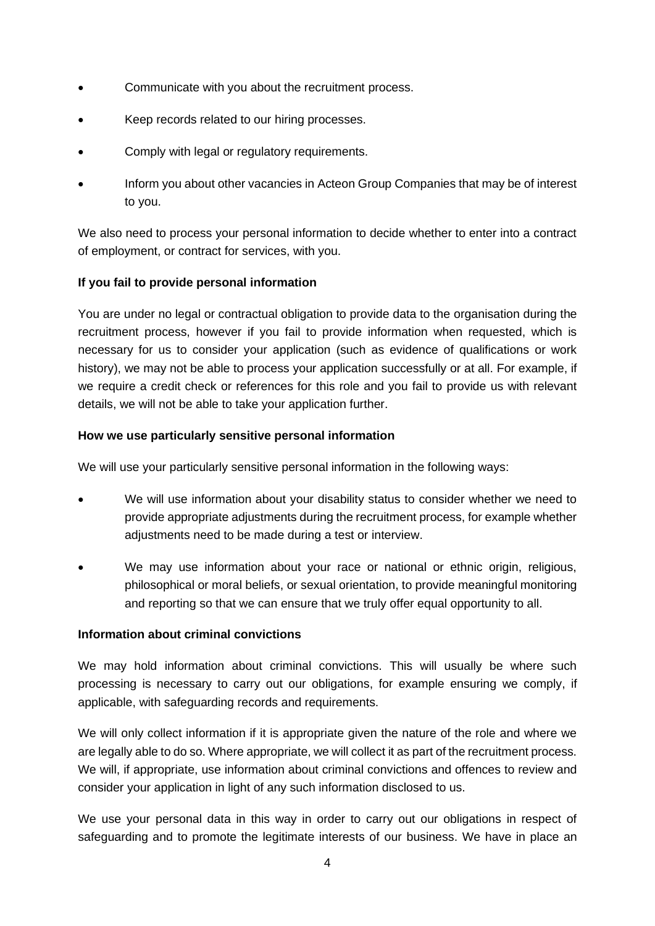- Communicate with you about the recruitment process.
- Keep records related to our hiring processes.
- Comply with legal or regulatory requirements.
- Inform you about other vacancies in Acteon Group Companies that may be of interest to you.

We also need to process your personal information to decide whether to enter into a contract of employment, or contract for services, with you.

## **If you fail to provide personal information**

You are under no legal or contractual obligation to provide data to the organisation during the recruitment process, however if you fail to provide information when requested, which is necessary for us to consider your application (such as evidence of qualifications or work history), we may not be able to process your application successfully or at all. For example, if we require a credit check or references for this role and you fail to provide us with relevant details, we will not be able to take your application further.

### **How we use particularly sensitive personal information**

We will use your particularly sensitive personal information in the following ways:

- We will use information about your disability status to consider whether we need to provide appropriate adjustments during the recruitment process, for example whether adjustments need to be made during a test or interview.
- We may use information about your race or national or ethnic origin, religious, philosophical or moral beliefs, or sexual orientation, to provide meaningful monitoring and reporting so that we can ensure that we truly offer equal opportunity to all.

### **Information about criminal convictions**

We may hold information about criminal convictions. This will usually be where such processing is necessary to carry out our obligations, for example ensuring we comply, if applicable, with safeguarding records and requirements.

We will only collect information if it is appropriate given the nature of the role and where we are legally able to do so. Where appropriate, we will collect it as part of the recruitment process. We will, if appropriate, use information about criminal convictions and offences to review and consider your application in light of any such information disclosed to us.

We use your personal data in this way in order to carry out our obligations in respect of safeguarding and to promote the legitimate interests of our business. We have in place an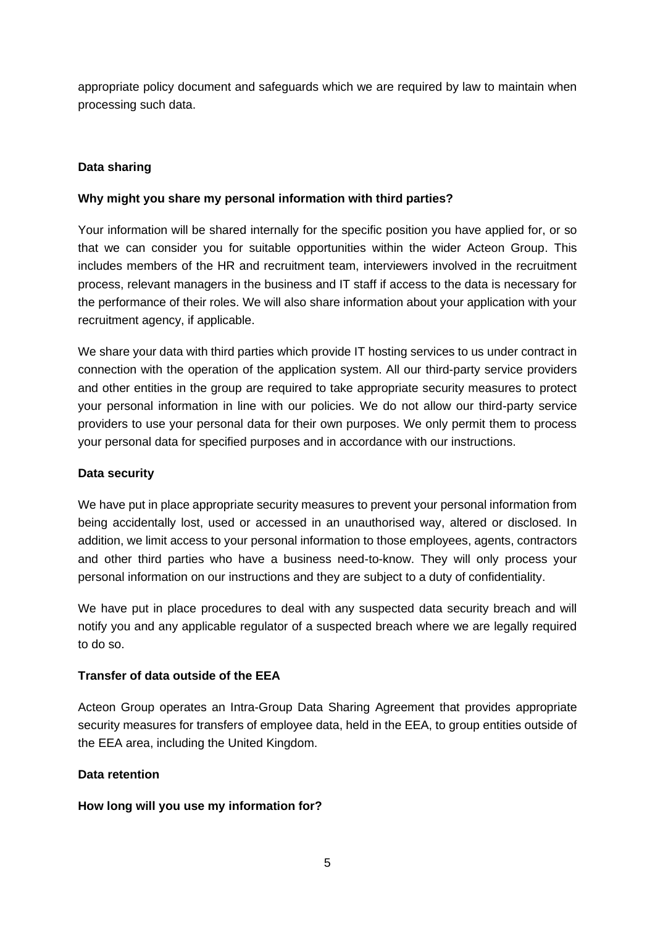appropriate policy document and safeguards which we are required by law to maintain when processing such data.

### **Data sharing**

#### **Why might you share my personal information with third parties?**

Your information will be shared internally for the specific position you have applied for, or so that we can consider you for suitable opportunities within the wider Acteon Group. This includes members of the HR and recruitment team, interviewers involved in the recruitment process, relevant managers in the business and IT staff if access to the data is necessary for the performance of their roles. We will also share information about your application with your recruitment agency, if applicable.

We share your data with third parties which provide IT hosting services to us under contract in connection with the operation of the application system. All our third-party service providers and other entities in the group are required to take appropriate security measures to protect your personal information in line with our policies. We do not allow our third-party service providers to use your personal data for their own purposes. We only permit them to process your personal data for specified purposes and in accordance with our instructions.

#### **Data security**

We have put in place appropriate security measures to prevent your personal information from being accidentally lost, used or accessed in an unauthorised way, altered or disclosed. In addition, we limit access to your personal information to those employees, agents, contractors and other third parties who have a business need-to-know. They will only process your personal information on our instructions and they are subject to a duty of confidentiality.

We have put in place procedures to deal with any suspected data security breach and will notify you and any applicable regulator of a suspected breach where we are legally required to do so.

### **Transfer of data outside of the EEA**

Acteon Group operates an Intra-Group Data Sharing Agreement that provides appropriate security measures for transfers of employee data, held in the EEA, to group entities outside of the EEA area, including the United Kingdom.

### **Data retention**

### **How long will you use my information for?**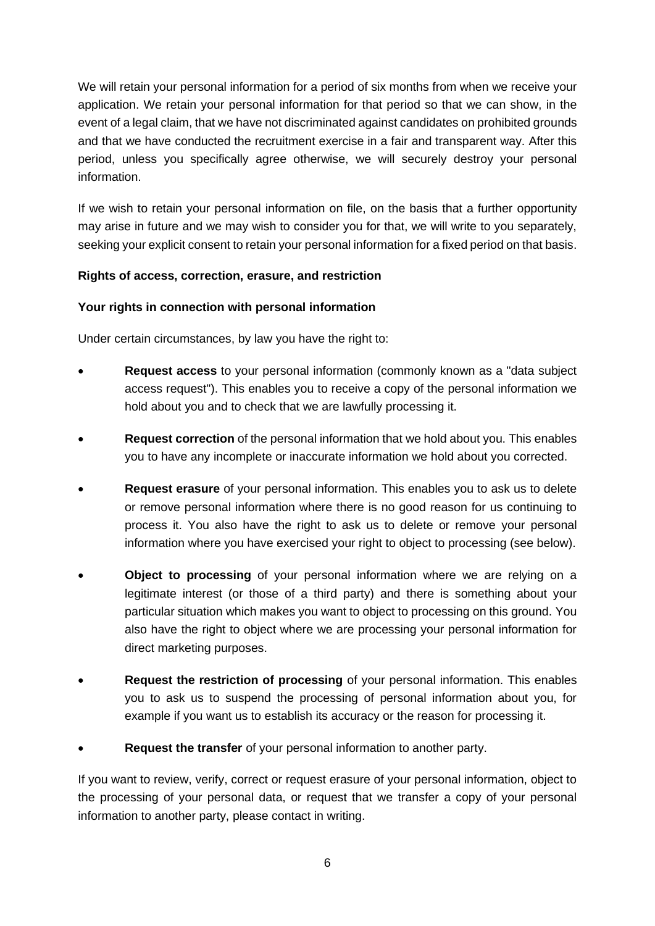We will retain your personal information for a period of six months from when we receive your application. We retain your personal information for that period so that we can show, in the event of a legal claim, that we have not discriminated against candidates on prohibited grounds and that we have conducted the recruitment exercise in a fair and transparent way. After this period, unless you specifically agree otherwise, we will securely destroy your personal information.

If we wish to retain your personal information on file, on the basis that a further opportunity may arise in future and we may wish to consider you for that, we will write to you separately, seeking your explicit consent to retain your personal information for a fixed period on that basis.

#### **Rights of access, correction, erasure, and restriction**

#### **Your rights in connection with personal information**

Under certain circumstances, by law you have the right to:

- **Request access** to your personal information (commonly known as a "data subject access request"). This enables you to receive a copy of the personal information we hold about you and to check that we are lawfully processing it.
- **Request correction** of the personal information that we hold about you. This enables you to have any incomplete or inaccurate information we hold about you corrected.
- **Request erasure** of your personal information. This enables you to ask us to delete or remove personal information where there is no good reason for us continuing to process it. You also have the right to ask us to delete or remove your personal information where you have exercised your right to object to processing (see below).
- **Object to processing** of your personal information where we are relying on a legitimate interest (or those of a third party) and there is something about your particular situation which makes you want to object to processing on this ground. You also have the right to object where we are processing your personal information for direct marketing purposes.
- **Request the restriction of processing** of your personal information. This enables you to ask us to suspend the processing of personal information about you, for example if you want us to establish its accuracy or the reason for processing it.
- **Request the transfer** of your personal information to another party.

If you want to review, verify, correct or request erasure of your personal information, object to the processing of your personal data, or request that we transfer a copy of your personal information to another party, please contact in writing.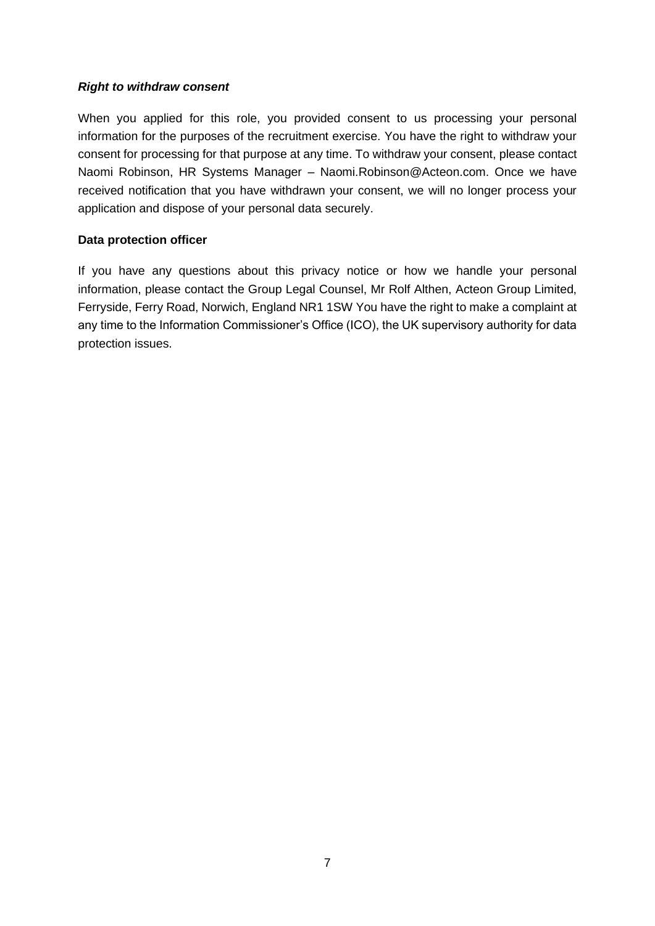#### *Right to withdraw consent*

When you applied for this role, you provided consent to us processing your personal information for the purposes of the recruitment exercise. You have the right to withdraw your consent for processing for that purpose at any time. To withdraw your consent, please contact Naomi Robinson, HR Systems Manager – Naomi.Robinson@Acteon.com. Once we have received notification that you have withdrawn your consent, we will no longer process your application and dispose of your personal data securely.

#### **Data protection officer**

If you have any questions about this privacy notice or how we handle your personal information, please contact the Group Legal Counsel, Mr Rolf Althen, Acteon Group Limited, Ferryside, Ferry Road, Norwich, England NR1 1SW You have the right to make a complaint at any time to the Information Commissioner's Office (ICO), the UK supervisory authority for data protection issues.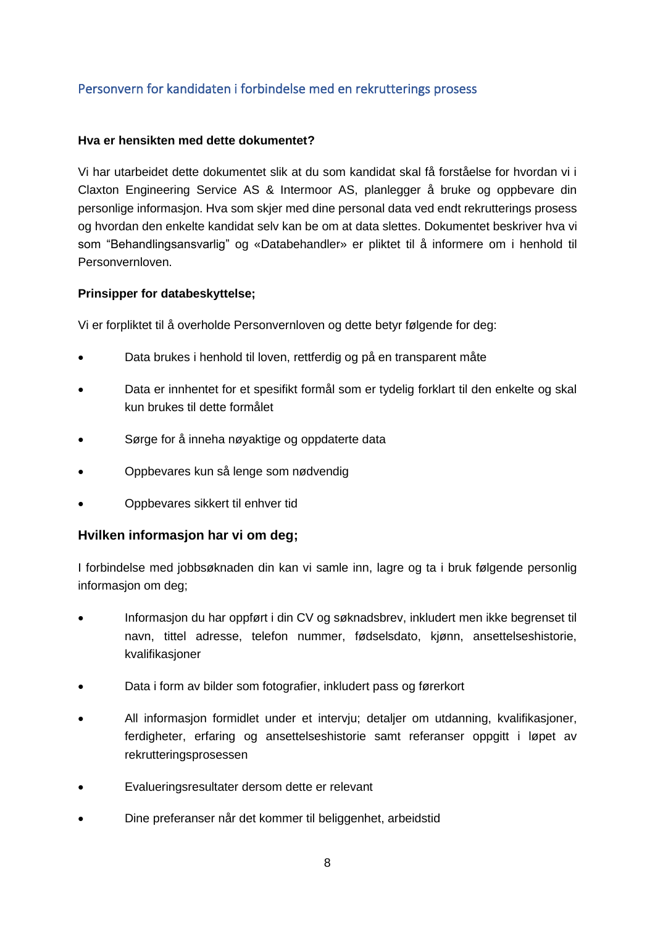# <span id="page-7-0"></span>Personvern for kandidaten i forbindelse med en rekrutterings prosess

#### **Hva er hensikten med dette dokumentet?**

Vi har utarbeidet dette dokumentet slik at du som kandidat skal få forståelse for hvordan vi i Claxton Engineering Service AS & Intermoor AS, planlegger å bruke og oppbevare din personlige informasjon. Hva som skjer med dine personal data ved endt rekrutterings prosess og hvordan den enkelte kandidat selv kan be om at data slettes. Dokumentet beskriver hva vi som "Behandlingsansvarlig" og «Databehandler» er pliktet til å informere om i henhold til Personvernloven.

### **Prinsipper for databeskyttelse;**

Vi er forpliktet til å overholde Personvernloven og dette betyr følgende for deg:

- Data brukes i henhold til loven, rettferdig og på en transparent måte
- Data er innhentet for et spesifikt formål som er tydelig forklart til den enkelte og skal kun brukes til dette formålet
- Sørge for å inneha nøyaktige og oppdaterte data
- Oppbevares kun så lenge som nødvendig
- Oppbevares sikkert til enhver tid

### **Hvilken informasjon har vi om deg;**

I forbindelse med jobbsøknaden din kan vi samle inn, lagre og ta i bruk følgende personlig informasjon om deg;

- Informasjon du har oppført i din CV og søknadsbrev, inkludert men ikke begrenset til navn, tittel adresse, telefon nummer, fødselsdato, kjønn, ansettelseshistorie, kvalifikasjoner
- Data i form av bilder som fotografier, inkludert pass og førerkort
- All informasjon formidlet under et intervju; detaljer om utdanning, kvalifikasjoner, ferdigheter, erfaring og ansettelseshistorie samt referanser oppgitt i løpet av rekrutteringsprosessen
- Evalueringsresultater dersom dette er relevant
- Dine preferanser når det kommer til beliggenhet, arbeidstid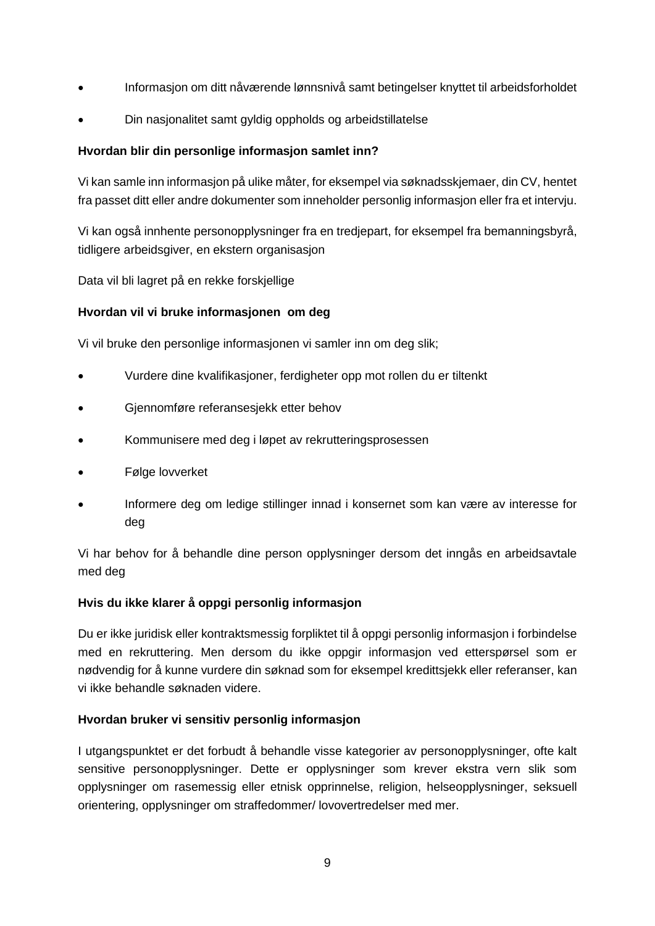- Informasjon om ditt nåværende lønnsnivå samt betingelser knyttet til arbeidsforholdet
- Din nasjonalitet samt gyldig oppholds og arbeidstillatelse

### **Hvordan blir din personlige informasjon samlet inn?**

Vi kan samle inn informasjon på ulike måter, for eksempel via søknadsskjemaer, din CV, hentet fra passet ditt eller andre dokumenter som inneholder personlig informasjon eller fra et intervju.

Vi kan også innhente personopplysninger fra en tredjepart, for eksempel fra bemanningsbyrå, tidligere arbeidsgiver, en ekstern organisasjon

Data vil bli lagret på en rekke forskjellige

## **Hvordan vil vi bruke informasjonen om deg**

Vi vil bruke den personlige informasjonen vi samler inn om deg slik;

- Vurdere dine kvalifikasjoner, ferdigheter opp mot rollen du er tiltenkt
- Gjennomføre referansesjekk etter behov
- Kommunisere med deg i løpet av rekrutteringsprosessen
- Følge lovverket
- Informere deg om ledige stillinger innad i konsernet som kan være av interesse for deg

Vi har behov for å behandle dine person opplysninger dersom det inngås en arbeidsavtale med deg

### **Hvis du ikke klarer å oppgi personlig informasjon**

Du er ikke juridisk eller kontraktsmessig forpliktet til å oppgi personlig informasjon i forbindelse med en rekruttering. Men dersom du ikke oppgir informasjon ved etterspørsel som er nødvendig for å kunne vurdere din søknad som for eksempel kredittsjekk eller referanser, kan vi ikke behandle søknaden videre.

### **Hvordan bruker vi sensitiv personlig informasjon**

I utgangspunktet er det forbudt å behandle visse kategorier av personopplysninger, ofte kalt sensitive personopplysninger. Dette er opplysninger som krever ekstra vern slik som opplysninger om rasemessig eller etnisk opprinnelse, religion, helseopplysninger, seksuell orientering, opplysninger om straffedommer/ lovovertredelser med mer.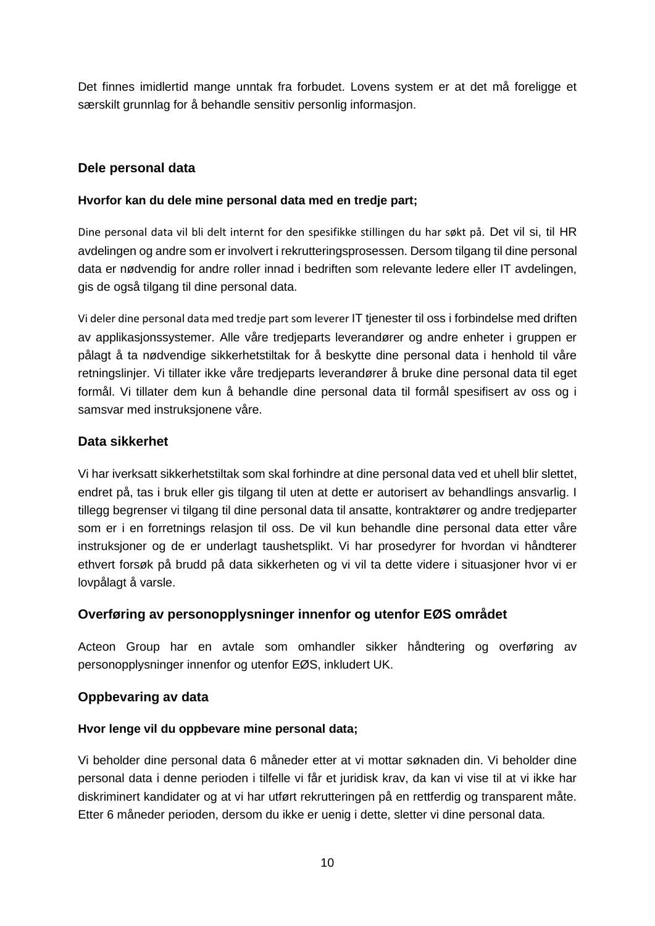Det finnes imidlertid mange unntak fra forbudet. Lovens system er at det må foreligge et særskilt grunnlag for å behandle sensitiv personlig informasjon.

## **Dele personal data**

#### **Hvorfor kan du dele mine personal data med en tredje part;**

Dine personal data vil bli delt internt for den spesifikke stillingen du har søkt på. Det vil si, til HR avdelingen og andre som er involvert i rekrutteringsprosessen. Dersom tilgang til dine personal data er nødvendig for andre roller innad i bedriften som relevante ledere eller IT avdelingen, gis de også tilgang til dine personal data.

Vi deler dine personal data med tredje part som leverer IT tjenester til oss i forbindelse med driften av applikasjonssystemer. Alle våre tredjeparts leverandører og andre enheter i gruppen er pålagt å ta nødvendige sikkerhetstiltak for å beskytte dine personal data i henhold til våre retningslinjer. Vi tillater ikke våre tredjeparts leverandører å bruke dine personal data til eget formål. Vi tillater dem kun å behandle dine personal data til formål spesifisert av oss og i samsvar med instruksjonene våre.

### **Data sikkerhet**

Vi har iverksatt sikkerhetstiltak som skal forhindre at dine personal data ved et uhell blir slettet, endret på, tas i bruk eller gis tilgang til uten at dette er autorisert av behandlings ansvarlig. I tillegg begrenser vi tilgang til dine personal data til ansatte, kontraktører og andre tredjeparter som er i en forretnings relasjon til oss. De vil kun behandle dine personal data etter våre instruksjoner og de er underlagt taushetsplikt. Vi har prosedyrer for hvordan vi håndterer ethvert forsøk på brudd på data sikkerheten og vi vil ta dette videre i situasjoner hvor vi er lovpålagt å varsle.

### **Overføring av personopplysninger innenfor og utenfor EØS området**

Acteon Group har en avtale som omhandler sikker håndtering og overføring av personopplysninger innenfor og utenfor EØS, inkludert UK.

### **Oppbevaring av data**

#### **Hvor lenge vil du oppbevare mine personal data;**

Vi beholder dine personal data 6 måneder etter at vi mottar søknaden din. Vi beholder dine personal data i denne perioden i tilfelle vi får et juridisk krav, da kan vi vise til at vi ikke har diskriminert kandidater og at vi har utført rekrutteringen på en rettferdig og transparent måte. Etter 6 måneder perioden, dersom du ikke er uenig i dette, sletter vi dine personal data.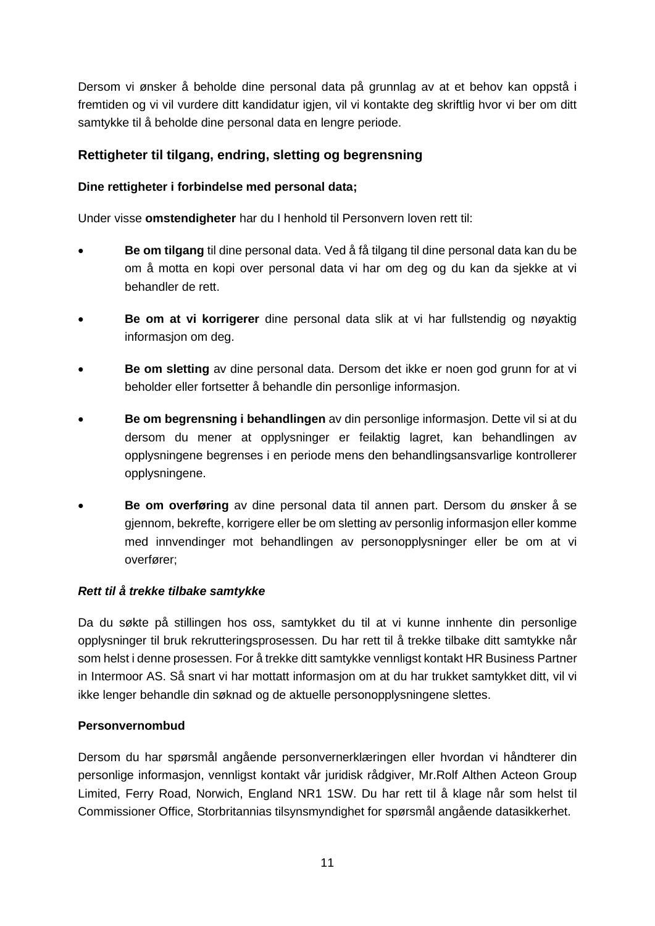Dersom vi ønsker å beholde dine personal data på grunnlag av at et behov kan oppstå i fremtiden og vi vil vurdere ditt kandidatur igjen, vil vi kontakte deg skriftlig hvor vi ber om ditt samtykke til å beholde dine personal data en lengre periode.

## **Rettigheter til tilgang, endring, sletting og begrensning**

### **Dine rettigheter i forbindelse med personal data;**

Under visse **omstendigheter** har du I henhold til Personvern loven rett til:

- **Be om tilgang** til dine personal data. Ved å få tilgang til dine personal data kan du be om å motta en kopi over personal data vi har om deg og du kan da sjekke at vi behandler de rett.
- **Be om at vi korrigerer** dine personal data slik at vi har fullstendig og nøyaktig informasjon om deg.
- **Be om sletting** av dine personal data. Dersom det ikke er noen god grunn for at vi beholder eller fortsetter å behandle din personlige informasjon.
- **Be om begrensning i behandlingen** av din personlige informasjon. Dette vil si at du dersom du mener at opplysninger er feilaktig lagret, kan behandlingen av opplysningene begrenses i en periode mens den behandlingsansvarlige kontrollerer opplysningene.
- **Be om overføring** av dine personal data til annen part. Dersom du ønsker å se gjennom, bekrefte, korrigere eller be om sletting av personlig informasjon eller komme med innvendinger mot behandlingen av personopplysninger eller be om at vi overfører;

#### *Rett til å trekke tilbake samtykke*

Da du søkte på stillingen hos oss, samtykket du til at vi kunne innhente din personlige opplysninger til bruk rekrutteringsprosessen. Du har rett til å trekke tilbake ditt samtykke når som helst i denne prosessen. For å trekke ditt samtykke vennligst kontakt HR Business Partner in Intermoor AS. Så snart vi har mottatt informasjon om at du har trukket samtykket ditt, vil vi ikke lenger behandle din søknad og de aktuelle personopplysningene slettes.

### **Personvernombud**

Dersom du har spørsmål angående personvernerklæringen eller hvordan vi håndterer din personlige informasjon, vennligst kontakt vår juridisk rådgiver, Mr.Rolf Althen Acteon Group Limited, Ferry Road, Norwich, England NR1 1SW. Du har rett til å klage når som helst til Commissioner Office, Storbritannias tilsynsmyndighet for spørsmål angående datasikkerhet.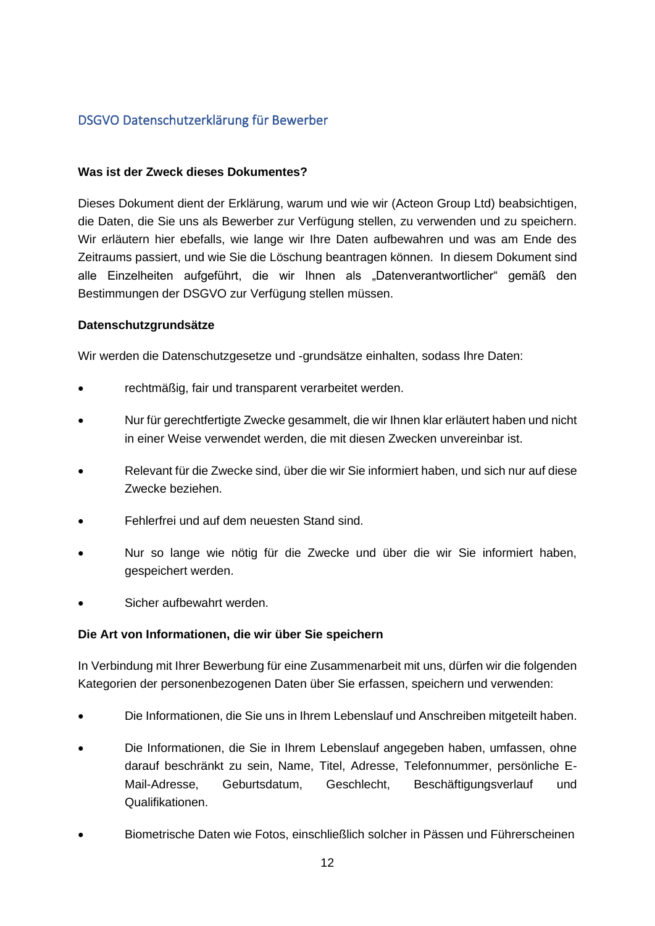## <span id="page-11-0"></span>DSGVO Datenschutzerklärung für Bewerber

#### **Was ist der Zweck dieses Dokumentes?**

Dieses Dokument dient der Erklärung, warum und wie wir (Acteon Group Ltd) beabsichtigen, die Daten, die Sie uns als Bewerber zur Verfügung stellen, zu verwenden und zu speichern. Wir erläutern hier ebefalls, wie lange wir Ihre Daten aufbewahren und was am Ende des Zeitraums passiert, und wie Sie die Löschung beantragen können. In diesem Dokument sind alle Einzelheiten aufgeführt, die wir Ihnen als "Datenverantwortlicher" gemäß den Bestimmungen der DSGVO zur Verfügung stellen müssen.

#### **Datenschutzgrundsätze**

Wir werden die Datenschutzgesetze und -grundsätze einhalten, sodass Ihre Daten:

- rechtmäßig, fair und transparent verarbeitet werden.
- Nur für gerechtfertigte Zwecke gesammelt, die wir Ihnen klar erläutert haben und nicht in einer Weise verwendet werden, die mit diesen Zwecken unvereinbar ist.
- Relevant für die Zwecke sind, über die wir Sie informiert haben, und sich nur auf diese Zwecke beziehen.
- Fehlerfrei und auf dem neuesten Stand sind.
- Nur so lange wie nötig für die Zwecke und über die wir Sie informiert haben, gespeichert werden.
- Sicher aufbewahrt werden.

#### **Die Art von Informationen, die wir über Sie speichern**

In Verbindung mit Ihrer Bewerbung für eine Zusammenarbeit mit uns, dürfen wir die folgenden Kategorien der personenbezogenen Daten über Sie erfassen, speichern und verwenden:

- Die Informationen, die Sie uns in Ihrem Lebenslauf und Anschreiben mitgeteilt haben.
- Die Informationen, die Sie in Ihrem Lebenslauf angegeben haben, umfassen, ohne darauf beschränkt zu sein, Name, Titel, Adresse, Telefonnummer, persönliche E-Mail-Adresse, Geburtsdatum, Geschlecht, Beschäftigungsverlauf und Qualifikationen.
- Biometrische Daten wie Fotos, einschließlich solcher in Pässen und Führerscheinen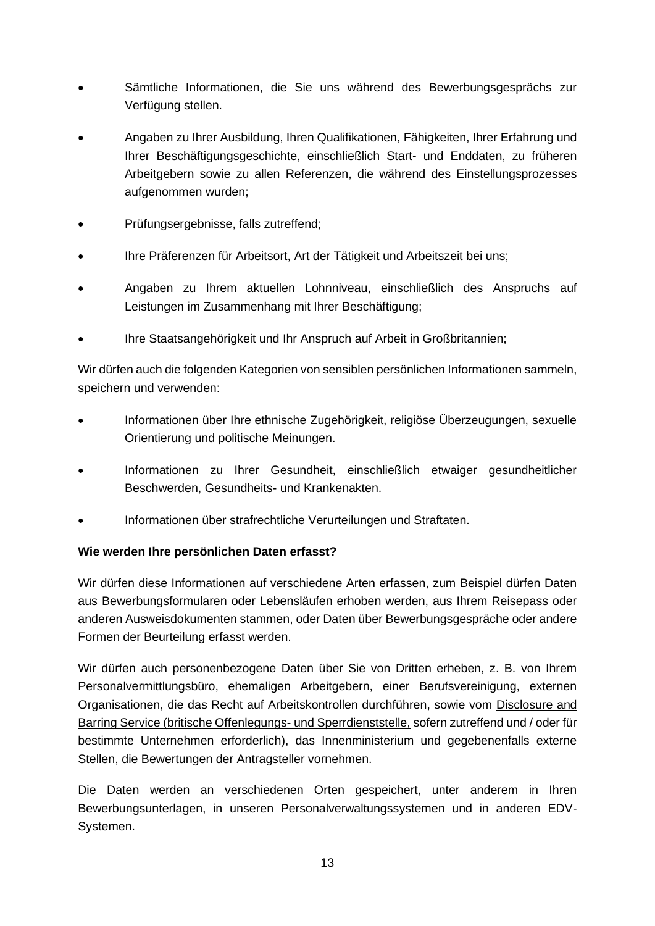- Sämtliche Informationen, die Sie uns während des Bewerbungsgesprächs zur Verfügung stellen.
- Angaben zu Ihrer Ausbildung, Ihren Qualifikationen, Fähigkeiten, Ihrer Erfahrung und Ihrer Beschäftigungsgeschichte, einschließlich Start- und Enddaten, zu früheren Arbeitgebern sowie zu allen Referenzen, die während des Einstellungsprozesses aufgenommen wurden;
- Prüfungsergebnisse, falls zutreffend;
- Ihre Präferenzen für Arbeitsort, Art der Tätigkeit und Arbeitszeit bei uns;
- Angaben zu Ihrem aktuellen Lohnniveau, einschließlich des Anspruchs auf Leistungen im Zusammenhang mit Ihrer Beschäftigung;
- Ihre Staatsangehörigkeit und Ihr Anspruch auf Arbeit in Großbritannien;

Wir dürfen auch die folgenden Kategorien von sensiblen persönlichen Informationen sammeln, speichern und verwenden:

- Informationen über Ihre ethnische Zugehörigkeit, religiöse Überzeugungen, sexuelle Orientierung und politische Meinungen.
- Informationen zu Ihrer Gesundheit, einschließlich etwaiger gesundheitlicher Beschwerden, Gesundheits- und Krankenakten.
- Informationen über strafrechtliche Verurteilungen und Straftaten.

### **Wie werden Ihre persönlichen Daten erfasst?**

Wir dürfen diese Informationen auf verschiedene Arten erfassen, zum Beispiel dürfen Daten aus Bewerbungsformularen oder Lebensläufen erhoben werden, aus Ihrem Reisepass oder anderen Ausweisdokumenten stammen, oder Daten über Bewerbungsgespräche oder andere Formen der Beurteilung erfasst werden.

Wir dürfen auch personenbezogene Daten über Sie von Dritten erheben, z. B. von Ihrem Personalvermittlungsbüro, ehemaligen Arbeitgebern, einer Berufsvereinigung, externen Organisationen, die das Recht auf Arbeitskontrollen durchführen, sowie vom Disclosure and Barring Service (britische Offenlegungs- und Sperrdienststelle, sofern zutreffend und / oder für bestimmte Unternehmen erforderlich), das Innenministerium und gegebenenfalls externe Stellen, die Bewertungen der Antragsteller vornehmen.

Die Daten werden an verschiedenen Orten gespeichert, unter anderem in Ihren Bewerbungsunterlagen, in unseren Personalverwaltungssystemen und in anderen EDV-Systemen.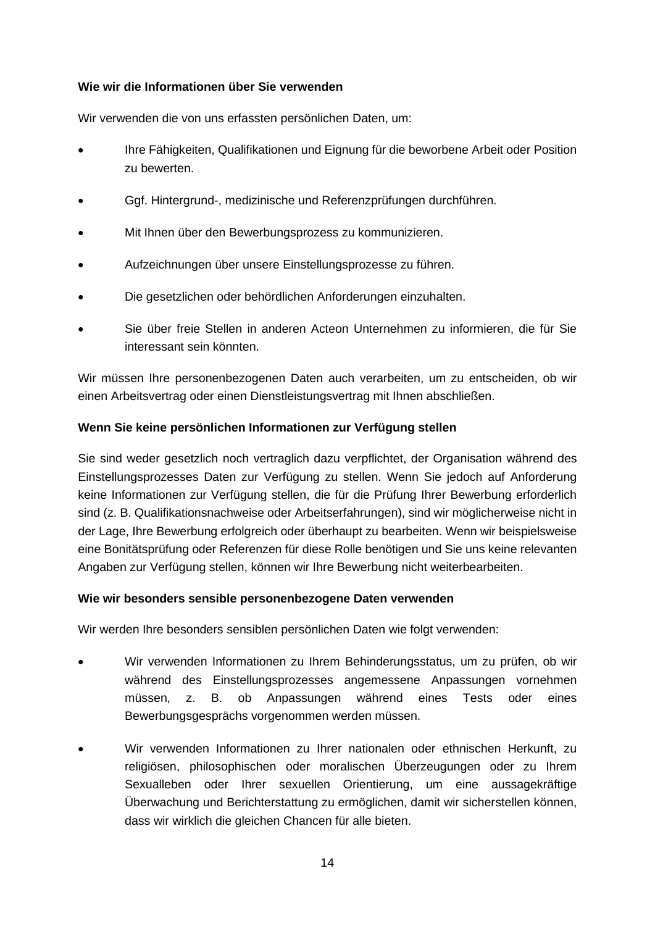#### **Wie wir die Informationen über Sie verwenden**

Wir verwenden die von uns erfassten persönlichen Daten, um:

- Ihre Fähigkeiten, Qualifikationen und Eignung für die beworbene Arbeit oder Position zu bewerten.
- Ggf. Hintergrund-, medizinische und Referenzprüfungen durchführen.
- Mit Ihnen über den Bewerbungsprozess zu kommunizieren.
- Aufzeichnungen über unsere Einstellungsprozesse zu führen.
- Die gesetzlichen oder behördlichen Anforderungen einzuhalten.
- Sie über freie Stellen in anderen Acteon Unternehmen zu informieren, die für Sie interessant sein könnten.

Wir müssen Ihre personenbezogenen Daten auch verarbeiten, um zu entscheiden, ob wir einen Arbeitsvertrag oder einen Dienstleistungsvertrag mit Ihnen abschließen.

### **Wenn Sie keine persönlichen Informationen zur Verfügung stellen**

Sie sind weder gesetzlich noch vertraglich dazu verpflichtet, der Organisation während des Einstellungsprozesses Daten zur Verfügung zu stellen. Wenn Sie jedoch auf Anforderung keine Informationen zur Verfügung stellen, die für die Prüfung Ihrer Bewerbung erforderlich sind (z. B. Qualifikationsnachweise oder Arbeitserfahrungen), sind wir möglicherweise nicht in der Lage, Ihre Bewerbung erfolgreich oder überhaupt zu bearbeiten. Wenn wir beispielsweise eine Bonitätsprüfung oder Referenzen für diese Rolle benötigen und Sie uns keine relevanten Angaben zur Verfügung stellen, können wir Ihre Bewerbung nicht weiterbearbeiten.

#### **Wie wir besonders sensible personenbezogene Daten verwenden**

Wir werden Ihre besonders sensiblen persönlichen Daten wie folgt verwenden:

- Wir verwenden Informationen zu Ihrem Behinderungsstatus, um zu prüfen, ob wir während des Einstellungsprozesses angemessene Anpassungen vornehmen müssen, z. B. ob Anpassungen während eines Tests oder eines Bewerbungsgesprächs vorgenommen werden müssen.
- Wir verwenden Informationen zu Ihrer nationalen oder ethnischen Herkunft, zu religiösen, philosophischen oder moralischen Überzeugungen oder zu Ihrem Sexualleben oder Ihrer sexuellen Orientierung, um eine aussagekräftige Überwachung und Berichterstattung zu ermöglichen, damit wir sicherstellen können, dass wir wirklich die gleichen Chancen für alle bieten.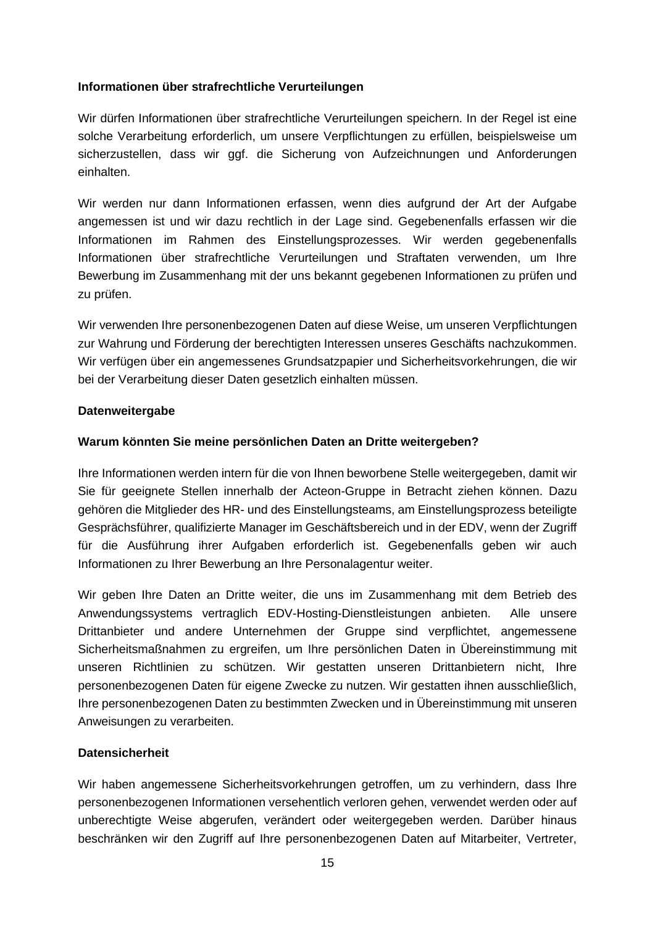#### **Informationen über strafrechtliche Verurteilungen**

Wir dürfen Informationen über strafrechtliche Verurteilungen speichern. In der Regel ist eine solche Verarbeitung erforderlich, um unsere Verpflichtungen zu erfüllen, beispielsweise um sicherzustellen, dass wir ggf. die Sicherung von Aufzeichnungen und Anforderungen einhalten.

Wir werden nur dann Informationen erfassen, wenn dies aufgrund der Art der Aufgabe angemessen ist und wir dazu rechtlich in der Lage sind. Gegebenenfalls erfassen wir die Informationen im Rahmen des Einstellungsprozesses. Wir werden gegebenenfalls Informationen über strafrechtliche Verurteilungen und Straftaten verwenden, um Ihre Bewerbung im Zusammenhang mit der uns bekannt gegebenen Informationen zu prüfen und zu prüfen.

Wir verwenden Ihre personenbezogenen Daten auf diese Weise, um unseren Verpflichtungen zur Wahrung und Förderung der berechtigten Interessen unseres Geschäfts nachzukommen. Wir verfügen über ein angemessenes Grundsatzpapier und Sicherheitsvorkehrungen, die wir bei der Verarbeitung dieser Daten gesetzlich einhalten müssen.

#### **Datenweitergabe**

#### **Warum könnten Sie meine persönlichen Daten an Dritte weitergeben?**

Ihre Informationen werden intern für die von Ihnen beworbene Stelle weitergegeben, damit wir Sie für geeignete Stellen innerhalb der Acteon-Gruppe in Betracht ziehen können. Dazu gehören die Mitglieder des HR- und des Einstellungsteams, am Einstellungsprozess beteiligte Gesprächsführer, qualifizierte Manager im Geschäftsbereich und in der EDV, wenn der Zugriff für die Ausführung ihrer Aufgaben erforderlich ist. Gegebenenfalls geben wir auch Informationen zu Ihrer Bewerbung an Ihre Personalagentur weiter.

Wir geben Ihre Daten an Dritte weiter, die uns im Zusammenhang mit dem Betrieb des Anwendungssystems vertraglich EDV-Hosting-Dienstleistungen anbieten. Alle unsere Drittanbieter und andere Unternehmen der Gruppe sind verpflichtet, angemessene Sicherheitsmaßnahmen zu ergreifen, um Ihre persönlichen Daten in Übereinstimmung mit unseren Richtlinien zu schützen. Wir gestatten unseren Drittanbietern nicht, Ihre personenbezogenen Daten für eigene Zwecke zu nutzen. Wir gestatten ihnen ausschließlich, Ihre personenbezogenen Daten zu bestimmten Zwecken und in Übereinstimmung mit unseren Anweisungen zu verarbeiten.

#### **Datensicherheit**

Wir haben angemessene Sicherheitsvorkehrungen getroffen, um zu verhindern, dass Ihre personenbezogenen Informationen versehentlich verloren gehen, verwendet werden oder auf unberechtigte Weise abgerufen, verändert oder weitergegeben werden. Darüber hinaus beschränken wir den Zugriff auf Ihre personenbezogenen Daten auf Mitarbeiter, Vertreter,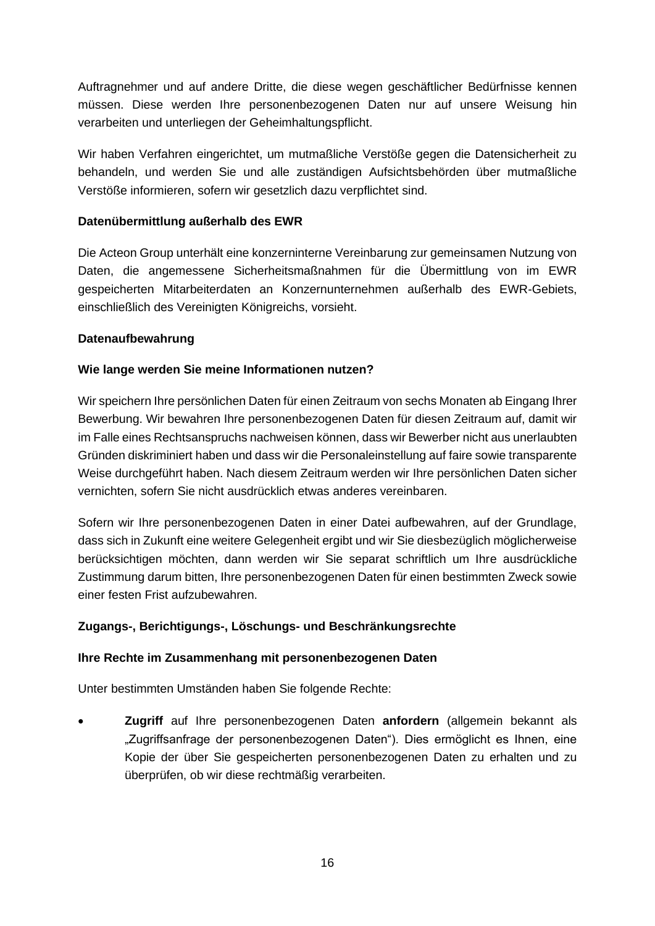Auftragnehmer und auf andere Dritte, die diese wegen geschäftlicher Bedürfnisse kennen müssen. Diese werden Ihre personenbezogenen Daten nur auf unsere Weisung hin verarbeiten und unterliegen der Geheimhaltungspflicht.

Wir haben Verfahren eingerichtet, um mutmaßliche Verstöße gegen die Datensicherheit zu behandeln, und werden Sie und alle zuständigen Aufsichtsbehörden über mutmaßliche Verstöße informieren, sofern wir gesetzlich dazu verpflichtet sind.

### **Datenübermittlung außerhalb des EWR**

Die Acteon Group unterhält eine konzerninterne Vereinbarung zur gemeinsamen Nutzung von Daten, die angemessene Sicherheitsmaßnahmen für die Übermittlung von im EWR gespeicherten Mitarbeiterdaten an Konzernunternehmen außerhalb des EWR-Gebiets, einschließlich des Vereinigten Königreichs, vorsieht.

#### **Datenaufbewahrung**

### **Wie lange werden Sie meine Informationen nutzen?**

Wir speichern Ihre persönlichen Daten für einen Zeitraum von sechs Monaten ab Eingang Ihrer Bewerbung. Wir bewahren Ihre personenbezogenen Daten für diesen Zeitraum auf, damit wir im Falle eines Rechtsanspruchs nachweisen können, dass wir Bewerber nicht aus unerlaubten Gründen diskriminiert haben und dass wir die Personaleinstellung auf faire sowie transparente Weise durchgeführt haben. Nach diesem Zeitraum werden wir Ihre persönlichen Daten sicher vernichten, sofern Sie nicht ausdrücklich etwas anderes vereinbaren.

Sofern wir Ihre personenbezogenen Daten in einer Datei aufbewahren, auf der Grundlage, dass sich in Zukunft eine weitere Gelegenheit ergibt und wir Sie diesbezüglich möglicherweise berücksichtigen möchten, dann werden wir Sie separat schriftlich um Ihre ausdrückliche Zustimmung darum bitten, Ihre personenbezogenen Daten für einen bestimmten Zweck sowie einer festen Frist aufzubewahren.

### **Zugangs-, Berichtigungs-, Löschungs- und Beschränkungsrechte**

#### **Ihre Rechte im Zusammenhang mit personenbezogenen Daten**

Unter bestimmten Umständen haben Sie folgende Rechte:

• **Zugriff** auf Ihre personenbezogenen Daten **anfordern** (allgemein bekannt als "Zugriffsanfrage der personenbezogenen Daten"). Dies ermöglicht es Ihnen, eine Kopie der über Sie gespeicherten personenbezogenen Daten zu erhalten und zu überprüfen, ob wir diese rechtmäßig verarbeiten.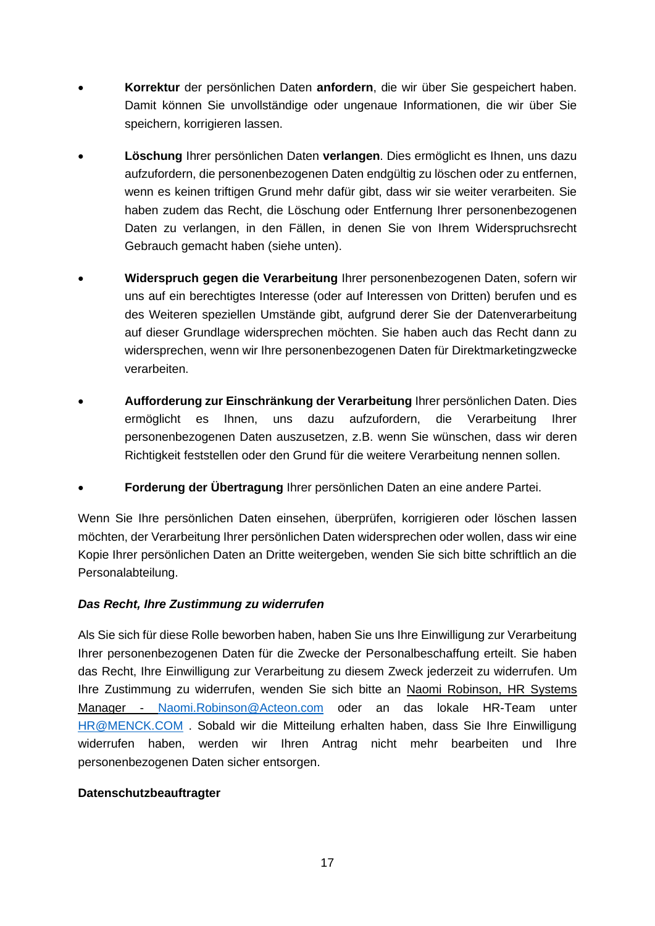- **Korrektur** der persönlichen Daten **anfordern**, die wir über Sie gespeichert haben. Damit können Sie unvollständige oder ungenaue Informationen, die wir über Sie speichern, korrigieren lassen.
- **Löschung** Ihrer persönlichen Daten **verlangen**. Dies ermöglicht es Ihnen, uns dazu aufzufordern, die personenbezogenen Daten endgültig zu löschen oder zu entfernen, wenn es keinen triftigen Grund mehr dafür gibt, dass wir sie weiter verarbeiten. Sie haben zudem das Recht, die Löschung oder Entfernung Ihrer personenbezogenen Daten zu verlangen, in den Fällen, in denen Sie von Ihrem Widerspruchsrecht Gebrauch gemacht haben (siehe unten).
- **Widerspruch gegen die Verarbeitung** Ihrer personenbezogenen Daten, sofern wir uns auf ein berechtigtes Interesse (oder auf Interessen von Dritten) berufen und es des Weiteren speziellen Umstände gibt, aufgrund derer Sie der Datenverarbeitung auf dieser Grundlage widersprechen möchten. Sie haben auch das Recht dann zu widersprechen, wenn wir Ihre personenbezogenen Daten für Direktmarketingzwecke verarbeiten.
- **Aufforderung zur Einschränkung der Verarbeitung** Ihrer persönlichen Daten. Dies ermöglicht es Ihnen, uns dazu aufzufordern, die Verarbeitung Ihrer personenbezogenen Daten auszusetzen, z.B. wenn Sie wünschen, dass wir deren Richtigkeit feststellen oder den Grund für die weitere Verarbeitung nennen sollen.
- **Forderung der Übertragung** Ihrer persönlichen Daten an eine andere Partei.

Wenn Sie Ihre persönlichen Daten einsehen, überprüfen, korrigieren oder löschen lassen möchten, der Verarbeitung Ihrer persönlichen Daten widersprechen oder wollen, dass wir eine Kopie Ihrer persönlichen Daten an Dritte weitergeben, wenden Sie sich bitte schriftlich an die Personalabteilung.

### *Das Recht, Ihre Zustimmung zu widerrufen*

Als Sie sich für diese Rolle beworben haben, haben Sie uns Ihre Einwilligung zur Verarbeitung Ihrer personenbezogenen Daten für die Zwecke der Personalbeschaffung erteilt. Sie haben das Recht, Ihre Einwilligung zur Verarbeitung zu diesem Zweck jederzeit zu widerrufen. Um Ihre Zustimmung zu widerrufen, wenden Sie sich bitte an Naomi Robinson, HR Systems Manager - [Naomi.Robinson@Acteon.com](mailto:Naomi.Robinson@Acteon.com) oder an das lokale HR-Team unter [HR@MENCK.COM](mailto:HR@MENCK.COM) . Sobald wir die Mitteilung erhalten haben, dass Sie Ihre Einwilligung widerrufen haben, werden wir Ihren Antrag nicht mehr bearbeiten und Ihre personenbezogenen Daten sicher entsorgen.

### **Datenschutzbeauftragter**